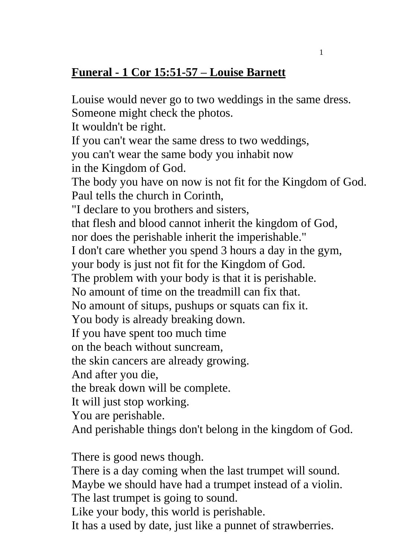## **Funeral - 1 Cor 15:51-57 – Louise Barnett**

Louise would never go to two weddings in the same dress.

Someone might check the photos. It wouldn't be right. If you can't wear the same dress to two weddings, you can't wear the same body you inhabit now in the Kingdom of God. The body you have on now is not fit for the Kingdom of God. Paul tells the church in Corinth, "I declare to you brothers and sisters, that flesh and blood cannot inherit the kingdom of God, nor does the perishable inherit the imperishable." I don't care whether you spend 3 hours a day in the gym, your body is just not fit for the Kingdom of God. The problem with your body is that it is perishable. No amount of time on the treadmill can fix that. No amount of situps, pushups or squats can fix it. You body is already breaking down. If you have spent too much time on the beach without suncream, the skin cancers are already growing. And after you die, the break down will be complete. It will just stop working. You are perishable. And perishable things don't belong in the kingdom of God. There is good news though. There is a day coming when the last trumpet will sound. Maybe we should have had a trumpet instead of a violin. The last trumpet is going to sound. Like your body, this world is perishable. It has a used by date, just like a punnet of strawberries.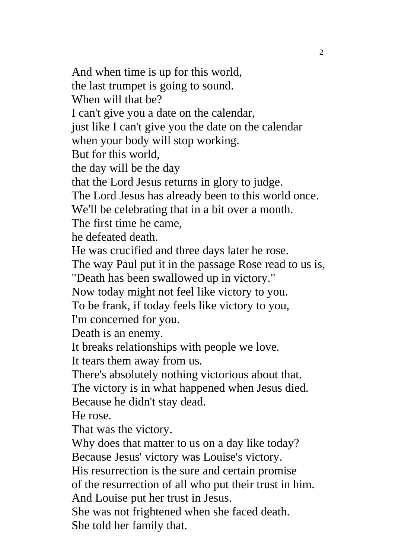And when time is up for this world, the last trumpet is going to sound. When will that be? I can't give you a date on the calendar, just like I can't give you the date on the calendar when your body will stop working. But for this world, the day will be the day that the Lord Jesus returns in glory to judge. The Lord Jesus has already been to this world once. We'll be celebrating that in a bit over a month. The first time he came, he defeated death. He was crucified and three days later he rose. The way Paul put it in the passage Rose read to us is, "Death has been swallowed up in victory." Now today might not feel like victory to you. To be frank, if today feels like victory to you, I'm concerned for you. Death is an enemy. It breaks relationships with people we love. It tears them away from us. There's absolutely nothing victorious about that. The victory is in what happened when Jesus died. Because he didn't stay dead. He rose. That was the victory. Why does that matter to us on a day like today? Because Jesus' victory was Louise's victory. His resurrection is the sure and certain promise of the resurrection of all who put their trust in him. And Louise put her trust in Jesus. She was not frightened when she faced death.

She told her family that.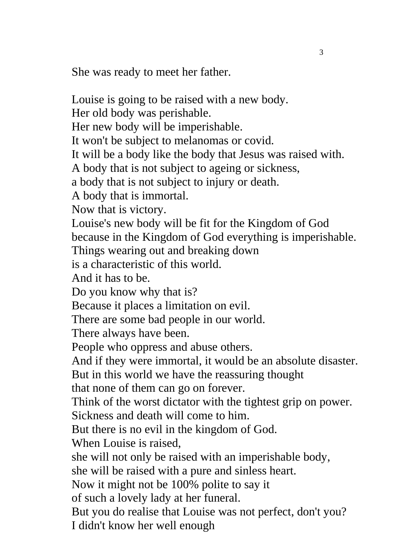She was ready to meet her father.

Louise is going to be raised with a new body. Her old body was perishable. Her new body will be imperishable. It won't be subject to melanomas or covid. It will be a body like the body that Jesus was raised with. A body that is not subject to ageing or sickness, a body that is not subject to injury or death. A body that is immortal. Now that is victory. Louise's new body will be fit for the Kingdom of God because in the Kingdom of God everything is imperishable. Things wearing out and breaking down is a characteristic of this world. And it has to be. Do you know why that is? Because it places a limitation on evil. There are some bad people in our world. There always have been. People who oppress and abuse others. And if they were immortal, it would be an absolute disaster. But in this world we have the reassuring thought that none of them can go on forever. Think of the worst dictator with the tightest grip on power. Sickness and death will come to him. But there is no evil in the kingdom of God. When Louise is raised, she will not only be raised with an imperishable body, she will be raised with a pure and sinless heart. Now it might not be 100% polite to say it of such a lovely lady at her funeral. But you do realise that Louise was not perfect, don't you? I didn't know her well enough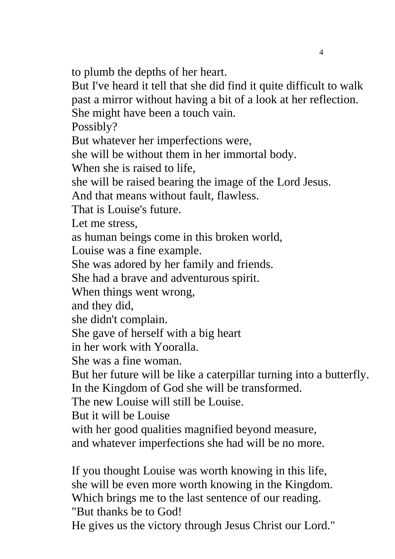to plumb the depths of her heart.

But I've heard it tell that she did find it quite difficult to walk past a mirror without having a bit of a look at her reflection. She might have been a touch vain.

Possibly?

But whatever her imperfections were,

she will be without them in her immortal body.

When she is raised to life,

she will be raised bearing the image of the Lord Jesus.

And that means without fault, flawless.

That is Louise's future.

Let me stress,

as human beings come in this broken world,

Louise was a fine example.

She was adored by her family and friends.

She had a brave and adventurous spirit.

When things went wrong,

and they did,

she didn't complain.

She gave of herself with a big heart

in her work with Yooralla.

She was a fine woman.

But her future will be like a caterpillar turning into a butterfly. In the Kingdom of God she will be transformed.

The new Louise will still be Louise.

But it will be Louise

with her good qualities magnified beyond measure,

and whatever imperfections she had will be no more.

If you thought Louise was worth knowing in this life, she will be even more worth knowing in the Kingdom. Which brings me to the last sentence of our reading. "But thanks be to God!

He gives us the victory through Jesus Christ our Lord."